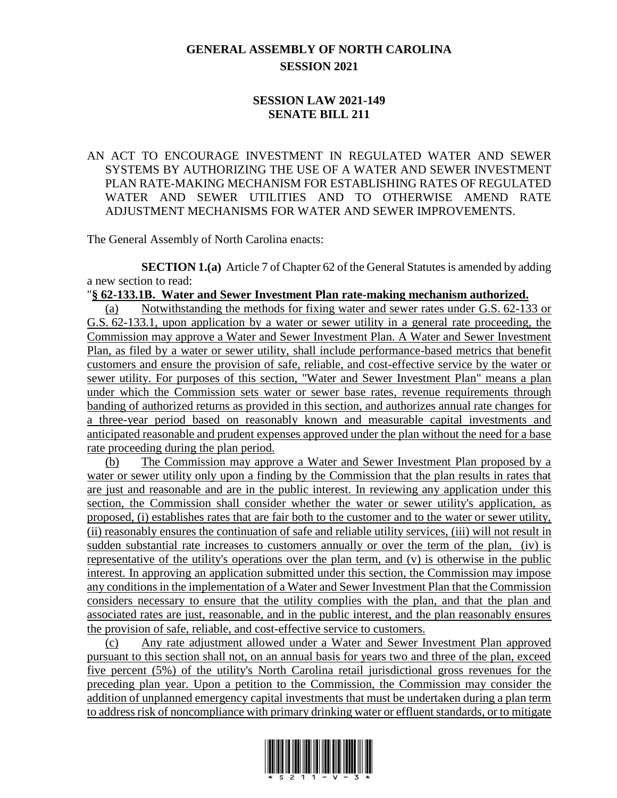# **GENERAL ASSEMBLY OF NORTH CAROLINA SESSION 2021**

## **SESSION LAW 2021-149 SENATE BILL 211**

## AN ACT TO ENCOURAGE INVESTMENT IN REGULATED WATER AND SEWER SYSTEMS BY AUTHORIZING THE USE OF A WATER AND SEWER INVESTMENT PLAN RATE-MAKING MECHANISM FOR ESTABLISHING RATES OF REGULATED WATER AND SEWER UTILITIES AND TO OTHERWISE AMEND RATE ADJUSTMENT MECHANISMS FOR WATER AND SEWER IMPROVEMENTS.

The General Assembly of North Carolina enacts:

**SECTION 1.(a)** Article 7 of Chapter 62 of the General Statutes is amended by adding a new section to read:

#### "**§ 62-133.1B. Water and Sewer Investment Plan rate-making mechanism authorized.**

(a) Notwithstanding the methods for fixing water and sewer rates under G.S. 62-133 or G.S. 62-133.1, upon application by a water or sewer utility in a general rate proceeding, the Commission may approve a Water and Sewer Investment Plan. A Water and Sewer Investment Plan, as filed by a water or sewer utility, shall include performance-based metrics that benefit customers and ensure the provision of safe, reliable, and cost-effective service by the water or sewer utility. For purposes of this section, "Water and Sewer Investment Plan" means a plan under which the Commission sets water or sewer base rates, revenue requirements through banding of authorized returns as provided in this section, and authorizes annual rate changes for a three-year period based on reasonably known and measurable capital investments and anticipated reasonable and prudent expenses approved under the plan without the need for a base rate proceeding during the plan period.

(b) The Commission may approve a Water and Sewer Investment Plan proposed by a water or sewer utility only upon a finding by the Commission that the plan results in rates that are just and reasonable and are in the public interest. In reviewing any application under this section, the Commission shall consider whether the water or sewer utility's application, as proposed, (i) establishes rates that are fair both to the customer and to the water or sewer utility, (ii) reasonably ensures the continuation of safe and reliable utility services, (iii) will not result in sudden substantial rate increases to customers annually or over the term of the plan, (iv) is representative of the utility's operations over the plan term, and (v) is otherwise in the public interest. In approving an application submitted under this section, the Commission may impose any conditions in the implementation of a Water and Sewer Investment Plan that the Commission considers necessary to ensure that the utility complies with the plan, and that the plan and associated rates are just, reasonable, and in the public interest, and the plan reasonably ensures the provision of safe, reliable, and cost-effective service to customers.

(c) Any rate adjustment allowed under a Water and Sewer Investment Plan approved pursuant to this section shall not, on an annual basis for years two and three of the plan, exceed five percent (5%) of the utility's North Carolina retail jurisdictional gross revenues for the preceding plan year. Upon a petition to the Commission, the Commission may consider the addition of unplanned emergency capital investments that must be undertaken during a plan term to address risk of noncompliance with primary drinking water or effluent standards, or to mitigate

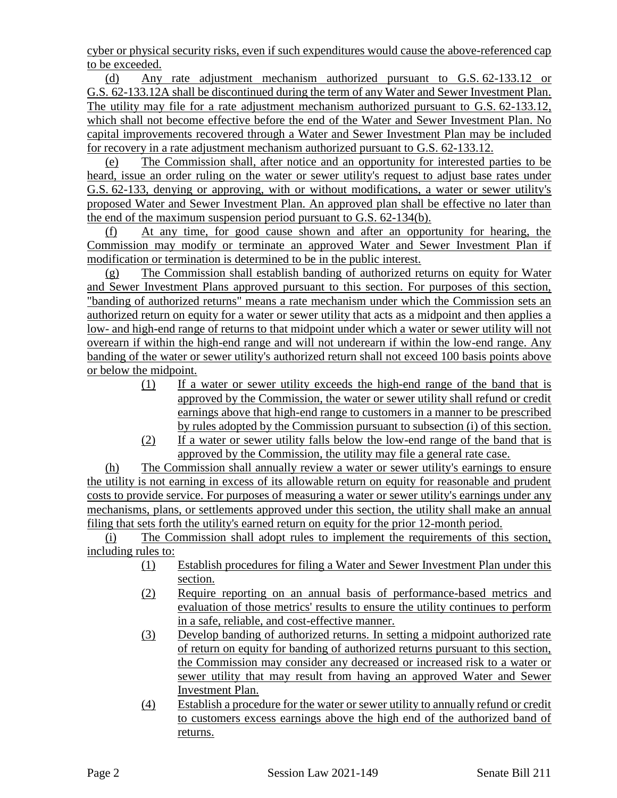cyber or physical security risks, even if such expenditures would cause the above-referenced cap to be exceeded.

(d) Any rate adjustment mechanism authorized pursuant to G.S. 62-133.12 or G.S. 62-133.12A shall be discontinued during the term of any Water and Sewer Investment Plan. The utility may file for a rate adjustment mechanism authorized pursuant to G.S. 62-133.12, which shall not become effective before the end of the Water and Sewer Investment Plan. No capital improvements recovered through a Water and Sewer Investment Plan may be included for recovery in a rate adjustment mechanism authorized pursuant to G.S. 62-133.12.

(e) The Commission shall, after notice and an opportunity for interested parties to be heard, issue an order ruling on the water or sewer utility's request to adjust base rates under G.S. 62-133, denying or approving, with or without modifications, a water or sewer utility's proposed Water and Sewer Investment Plan. An approved plan shall be effective no later than the end of the maximum suspension period pursuant to G.S. 62-134(b).

(f) At any time, for good cause shown and after an opportunity for hearing, the Commission may modify or terminate an approved Water and Sewer Investment Plan if modification or termination is determined to be in the public interest.

(g) The Commission shall establish banding of authorized returns on equity for Water and Sewer Investment Plans approved pursuant to this section. For purposes of this section, "banding of authorized returns" means a rate mechanism under which the Commission sets an authorized return on equity for a water or sewer utility that acts as a midpoint and then applies a low- and high-end range of returns to that midpoint under which a water or sewer utility will not overearn if within the high-end range and will not underearn if within the low-end range. Any banding of the water or sewer utility's authorized return shall not exceed 100 basis points above or below the midpoint.

- (1) If a water or sewer utility exceeds the high-end range of the band that is approved by the Commission, the water or sewer utility shall refund or credit earnings above that high-end range to customers in a manner to be prescribed by rules adopted by the Commission pursuant to subsection (i) of this section.
- (2) If a water or sewer utility falls below the low-end range of the band that is approved by the Commission, the utility may file a general rate case.

(h) The Commission shall annually review a water or sewer utility's earnings to ensure the utility is not earning in excess of its allowable return on equity for reasonable and prudent costs to provide service. For purposes of measuring a water or sewer utility's earnings under any mechanisms, plans, or settlements approved under this section, the utility shall make an annual filing that sets forth the utility's earned return on equity for the prior 12-month period.

(i) The Commission shall adopt rules to implement the requirements of this section, including rules to:

- (1) Establish procedures for filing a Water and Sewer Investment Plan under this section.
- (2) Require reporting on an annual basis of performance-based metrics and evaluation of those metrics' results to ensure the utility continues to perform in a safe, reliable, and cost-effective manner.
- (3) Develop banding of authorized returns. In setting a midpoint authorized rate of return on equity for banding of authorized returns pursuant to this section, the Commission may consider any decreased or increased risk to a water or sewer utility that may result from having an approved Water and Sewer Investment Plan.
- (4) Establish a procedure for the water or sewer utility to annually refund or credit to customers excess earnings above the high end of the authorized band of returns.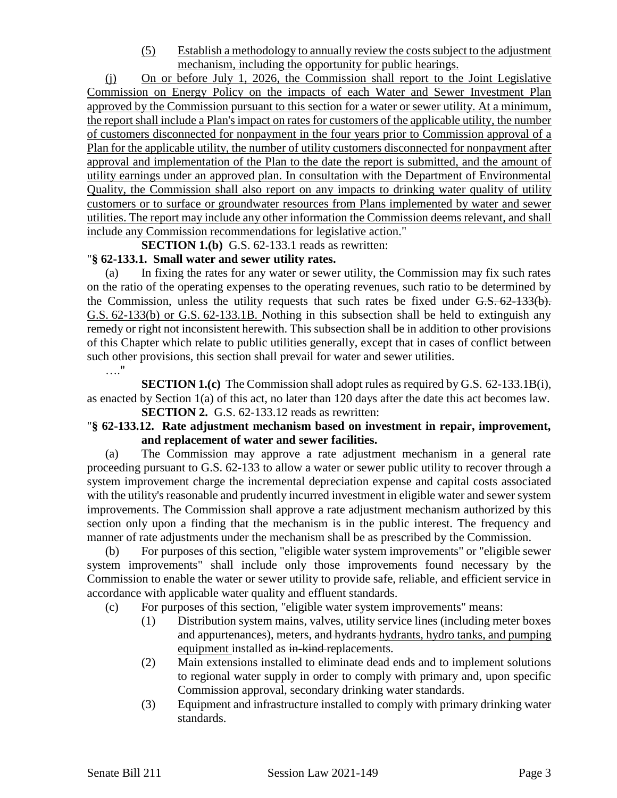(5) Establish a methodology to annually review the costs subject to the adjustment mechanism, including the opportunity for public hearings.

(j) On or before July 1, 2026, the Commission shall report to the Joint Legislative Commission on Energy Policy on the impacts of each Water and Sewer Investment Plan approved by the Commission pursuant to this section for a water or sewer utility. At a minimum, the report shall include a Plan's impact on rates for customers of the applicable utility, the number of customers disconnected for nonpayment in the four years prior to Commission approval of a Plan for the applicable utility, the number of utility customers disconnected for nonpayment after approval and implementation of the Plan to the date the report is submitted, and the amount of utility earnings under an approved plan. In consultation with the Department of Environmental Quality, the Commission shall also report on any impacts to drinking water quality of utility customers or to surface or groundwater resources from Plans implemented by water and sewer utilities. The report may include any other information the Commission deems relevant, and shall include any Commission recommendations for legislative action."

**SECTION 1.(b)** G.S. 62-133.1 reads as rewritten:

### "**§ 62-133.1. Small water and sewer utility rates.**

In fixing the rates for any water or sewer utility, the Commission may fix such rates on the ratio of the operating expenses to the operating revenues, such ratio to be determined by the Commission, unless the utility requests that such rates be fixed under G.S. 62-133(b). G.S. 62-133(b) or G.S. 62-133.1B. Nothing in this subsection shall be held to extinguish any remedy or right not inconsistent herewith. This subsection shall be in addition to other provisions of this Chapter which relate to public utilities generally, except that in cases of conflict between such other provisions, this section shall prevail for water and sewer utilities.

…."

**SECTION 1.(c)** The Commission shall adopt rules as required by G.S. 62-133.1B(i), as enacted by Section 1(a) of this act, no later than 120 days after the date this act becomes law. **SECTION 2.** G.S. 62-133.12 reads as rewritten:

## "**§ 62-133.12. Rate adjustment mechanism based on investment in repair, improvement, and replacement of water and sewer facilities.**

(a) The Commission may approve a rate adjustment mechanism in a general rate proceeding pursuant to G.S. 62-133 to allow a water or sewer public utility to recover through a system improvement charge the incremental depreciation expense and capital costs associated with the utility's reasonable and prudently incurred investment in eligible water and sewer system improvements. The Commission shall approve a rate adjustment mechanism authorized by this section only upon a finding that the mechanism is in the public interest. The frequency and manner of rate adjustments under the mechanism shall be as prescribed by the Commission.

(b) For purposes of this section, "eligible water system improvements" or "eligible sewer system improvements" shall include only those improvements found necessary by the Commission to enable the water or sewer utility to provide safe, reliable, and efficient service in accordance with applicable water quality and effluent standards.

(c) For purposes of this section, "eligible water system improvements" means:

- (1) Distribution system mains, valves, utility service lines (including meter boxes and appurtenances), meters, and hydrants hydrants, hydro tanks, and pumping equipment installed as in-kind replacements.
- (2) Main extensions installed to eliminate dead ends and to implement solutions to regional water supply in order to comply with primary and, upon specific Commission approval, secondary drinking water standards.
- (3) Equipment and infrastructure installed to comply with primary drinking water standards.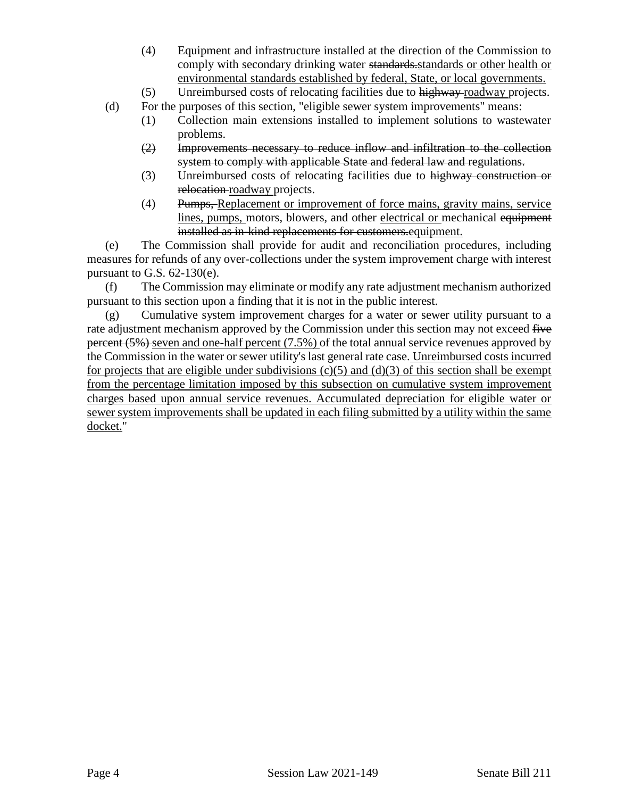- (4) Equipment and infrastructure installed at the direction of the Commission to comply with secondary drinking water standards.standards or other health or environmental standards established by federal, State, or local governments.
- (5) Unreimbursed costs of relocating facilities due to highway roadway projects.
- (d) For the purposes of this section, "eligible sewer system improvements" means:
	- (1) Collection main extensions installed to implement solutions to wastewater problems.
	- (2) Improvements necessary to reduce inflow and infiltration to the collection system to comply with applicable State and federal law and regulations.
	- (3) Unreimbursed costs of relocating facilities due to highway construction or relocation roadway projects.
	- (4) Pumps, Replacement or improvement of force mains, gravity mains, service lines, pumps, motors, blowers, and other electrical or mechanical equipment installed as in-kind replacements for customers.equipment.

(e) The Commission shall provide for audit and reconciliation procedures, including measures for refunds of any over-collections under the system improvement charge with interest pursuant to G.S. 62-130(e).

(f) The Commission may eliminate or modify any rate adjustment mechanism authorized pursuant to this section upon a finding that it is not in the public interest.

(g) Cumulative system improvement charges for a water or sewer utility pursuant to a rate adjustment mechanism approved by the Commission under this section may not exceed five percent (5%) seven and one-half percent (7.5%) of the total annual service revenues approved by the Commission in the water or sewer utility's last general rate case. Unreimbursed costs incurred for projects that are eligible under subdivisions  $(c)(5)$  and  $(d)(3)$  of this section shall be exempt from the percentage limitation imposed by this subsection on cumulative system improvement charges based upon annual service revenues. Accumulated depreciation for eligible water or sewer system improvements shall be updated in each filing submitted by a utility within the same docket."